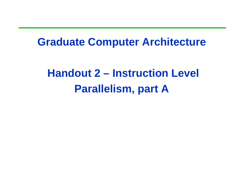#### **Graduate Computer Architecture**

# **Handout 2 – Instruction Level Parallelism, part A**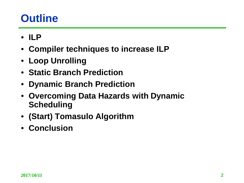## **Outline**

- **ILP**
- **Compiler techniques to increase ILP**
- **Loop Unrolling**
- **Static Branch Prediction**
- **Dynamic Branch Prediction**
- **Overcoming Data Hazards with Dynamic Scheduling**
- **(Start) Tomasulo Algorithm**
- **Conclusion**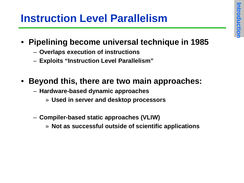## **Instruction Level Parallelism**

- **Pipelining become universal technique in 1985**
	- **Overlaps execution of instructions**
	- **Exploits "Instruction Level Parallelism"**
- **Beyond this, there are two main approaches:**
	- **Hardware-based dynamic approaches**
		- » **Used in server and desktop processors**
	- **Compiler-based static approaches (VLIW)**
		- » **Not as successful outside of scientific applications**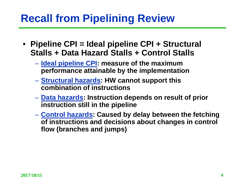## **Recall from Pipelining Review**

- **Pipeline CPI = Ideal pipeline CPI + Structural Stalls + Data Hazard Stalls + Control Stalls**
	- **Ideal pipeline CPI: measure of the maximum performance attainable by the implementation**
	- **Structural hazards: HW cannot support this combination of instructions**
	- **Data hazards: Instruction depends on result of prior instruction still in the pipeline**
	- **Control hazards: Caused by delay between the fetching of instructions and decisions about changes in control flow (branches and jumps)**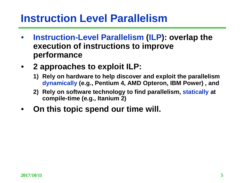#### **Instruction Level Parallelism**

- **Instruction-Level Parallelism (ILP): overlap the execution of instructions to improve performance**
- **2 approaches to exploit ILP:**
	- **1) Rely on hardware to help discover and exploit the parallelism dynamically (e.g., Pentium 4, AMD Opteron, IBM Power) , and**
	- **2) Rely on software technology to find parallelism, statically at compile-time (e.g., Itanium 2)**
- **On this topic spend our time will.**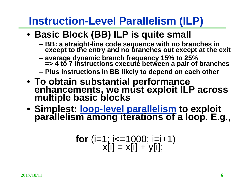## **Instruction-Level Parallelism (ILP)**

#### • **Basic Block (BB) ILP is quite small**

- **BB: a straight-line code sequence with no branches in except to the entry and no branches out except at the exit**
- **average dynamic branch frequency 15% to 25% => 4 to 7 instructions execute between a pair of branches**
- **Plus instructions in BB likely to depend on each other**
- **To obtain substantial performance enhancements, we must exploit ILP across multiple basic blocks**
- **Simplest: loop-level parallelism to exploit parallelism among iterations of a loop. E.g.,**

$$
for (i=1; i<=1000; i=i+1)x[i] = x[i] + y[i];
$$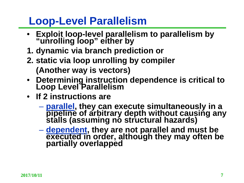#### **Loop-Level Parallelism**

- **Exploit loop-level parallelism to parallelism by "unrolling loop" either by**
- **1. dynamic via branch prediction or**
- **2. static via loop unrolling by compiler (Another way is vectors)**
- **Determining instruction dependence is critical to Loop Level Parallelism**
- **If 2 instructions are**
	- **parallel, they can execute simultaneously in a pipeline of arbitrary depth without causing any stalls (assuming no structural hazards)**
	- **dependent, they are not parallel and must be executed in order, although they may often be partially overlapped**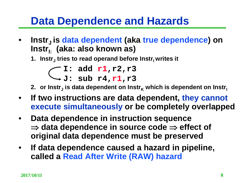#### **Data Dependence and Hazards**

**Instr<sub>J</sub> is data dependent (aka true dependence) on** Instr<sub>i</sub>. (aka: also known as)

1. **Instr<sub>J</sub>** tries to read operand before Instr<sub>I</sub> writes it

**I: add r1,r2,r3 J: sub r4,r1,r3**

- 2. **or Instr<sub>J</sub>** is data dependent on Instr<sub>K</sub> which is dependent on Instr<sub>I</sub>
- **If two instructions are data dependent, they cannot execute simultaneously or be completely overlapped**
- **Data dependence in instruction sequence**  ⇒ **data dependence in source code** ⇒ **effect of original data dependence must be preserved**
- **If data dependence caused a hazard in pipeline, called a Read After Write (RAW) hazard**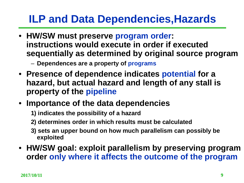## **ILP and Data Dependencies,Hazards**

- **HW/SW must preserve program order: instructions would execute in order if executed sequentially as determined by original source program**
	- **Dependences are a property of programs**
- **Presence of dependence indicates potential for a hazard, but actual hazard and length of any stall is property of the pipeline**
- **Importance of the data dependencies**
	- **1) indicates the possibility of a hazard**
	- **2) determines order in which results must be calculated**
	- **3) sets an upper bound on how much parallelism can possibly be exploited**
- **HW/SW goal: exploit parallelism by preserving program order only where it affects the outcome of the program**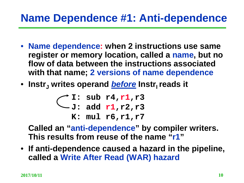## **Name Dependence #1: Anti-dependence**

- **Name dependence: when 2 instructions use same register or memory location, called a name, but no flow of data between the instructions associated with that name; 2 versions of name dependence**
- Instr<sub>i</sub> writes operand *before* Instr<sub>i</sub> reads it

**I: sub r4,r1,r3 J: add r1,r2,r3 K: mul r6,r1,r7**

**Called an "anti-dependence" by compiler writers. This results from reuse of the name "r1"**

• **If anti-dependence caused a hazard in the pipeline, called a Write After Read (WAR) hazard**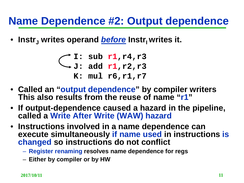#### **Name Dependence #2: Output dependence**

• Instr<sub>J</sub> writes operand *before* Instr<sub>I</sub> writes it.

**I: sub r1,r4,r3 J: add r1,r2,r3 K: mul r6,r1,r7**

- **Called an "output dependence" by compiler writers This also results from the reuse of name "r1"**
- **If output-dependence caused a hazard in the pipeline, called a Write After Write (WAW) hazard**
- **Instructions involved in a name dependence can execute simultaneously if name used in instructions is changed so instructions do not conflict**
	- **Register renaming resolves name dependence for regs**
	- **Either by compiler or by HW**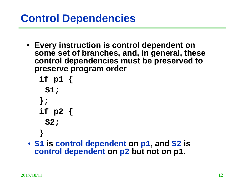## **Control Dependencies**

• **Every instruction is control dependent on some set of branches, and, in general, these control dependencies must be preserved to preserve program order**

**if p1 { S1; }; if p2 { S2; }**

• **S1 is control dependent on p1, and S2 is control dependent on p2 but not on p1.**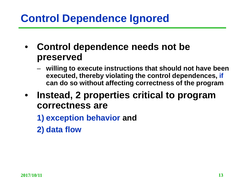## **Control Dependence Ignored**

- **Control dependence needs not be preserved**
	- **willing to execute instructions that should not have been executed, thereby violating the control dependences, if can do so without affecting correctness of the program**
- **Instead, 2 properties critical to program correctness are** 
	- **1) exception behavior and**
	- **2) data flow**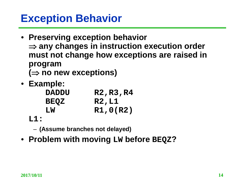#### **Exception Behavior**

- **Preserving exception behavior**  ⇒ **any changes in instruction execution order must not change how exceptions are raised in program (**⇒ **no new exceptions)**
- **Example:**

| <b>DADDU</b> | R2, R3, R4   |
|--------------|--------------|
| <b>BEQZ</b>  | <b>R2,L1</b> |
| LW           | R1,0(R2)     |

**L1:**

– **(Assume branches not delayed)**

• **Problem with moving LW before BEQZ?**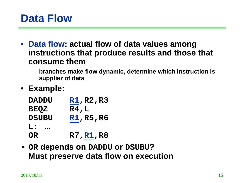#### **Data Flow**

- **Data flow: actual flow of data values among instructions that produce results and those that consume them**
	- **branches make flow dynamic, determine which instruction is supplier of data**
- **Example:**

| R1,R2,R3        |
|-----------------|
| R4, L           |
| <u>R1,R5,R6</u> |
|                 |
| R7, R1, R8      |
|                 |

• **OR depends on DADDU or DSUBU? Must preserve data flow on execution**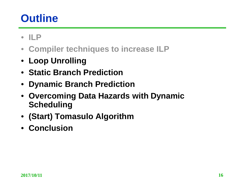## **Outline**

- **ILP**
- **Compiler techniques to increase ILP**
- **Loop Unrolling**
- **Static Branch Prediction**
- **Dynamic Branch Prediction**
- **Overcoming Data Hazards with Dynamic Scheduling**
- **(Start) Tomasulo Algorithm**
- **Conclusion**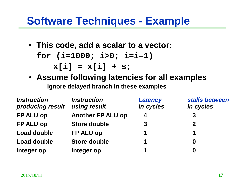#### **Software Techniques - Example**

- **This code, add a scalar to a vector: for (i=1000; i>0; i=i–1) x[i] = x[i] + s;**
- **Assume following latencies for all examples**

– **Ignore delayed branch in these examples**

| <b>Instruction</b><br>producing result | <i><b>Instruction</b></i><br>using result | <b>Latency</b><br>in cycles | stalls between<br>in cycles |
|----------------------------------------|-------------------------------------------|-----------------------------|-----------------------------|
| FP ALU op                              | <b>Another FP ALU op</b>                  | $\boldsymbol{4}$            | 3                           |
| FP ALU op                              | <b>Store double</b>                       | $\mathbf{3}$                | $\mathbf{2}$                |
| Load double                            | FP ALU op                                 | 1                           | 1                           |
| Load double                            | <b>Store double</b>                       | 1                           | 0                           |
| Integer op                             | Integer op                                | 1                           | 0                           |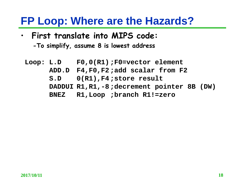#### **FP Loop: Where are the Hazards?**

- **First translate into MIPS code:** 
	- **-To simplify, assume 8 is lowest address**
	- **Loop: L.D F0,0(R1);F0=vector element ADD.D F4,F0,F2;add scalar from F2 S.D 0(R1),F4;store result DADDUI R1,R1,-8;decrement pointer 8B (DW) BNEZ R1,Loop ;branch R1!=zero**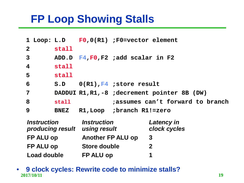## **FP Loop Showing Stalls**

|                         |             | 1 Loop: L.D F0,0(R1) ;F0=vector element       |
|-------------------------|-------------|-----------------------------------------------|
| $\overline{2}$          | stall       |                                               |
| $\mathbf{3}$            |             | ADD.D $F4, F0, F2$ ; add scalar in F2         |
| $\overline{\mathbf{4}}$ | stall       |                                               |
| 5                       | stall       |                                               |
| 6                       |             | $S.D$ $O(R1), F4$ ; store result              |
| $\overline{7}$          |             | DADDUI R1, R1, -8 ; decrement pointer 8B (DW) |
| 8                       | stall       | assumes can't forward to branch               |
| 9                       | <b>BNEZ</b> | R1, Loop ; branch R1!=zero                    |
|                         |             |                                               |

| <i><b>Instruction</b></i><br>producing result | <b>Instruction</b><br>using result | <b>Latency in</b><br>clock cycles |
|-----------------------------------------------|------------------------------------|-----------------------------------|
| FP ALU op                                     | <b>Another FP ALU op</b>           | -3                                |
| <b>FP ALU op</b>                              | <b>Store double</b>                | $\mathbf 2$                       |
| <b>Load double</b>                            | FP ALU op                          | 1                                 |

**2017/10/11 19** • **9 clock cycles: Rewrite code to minimize stalls?**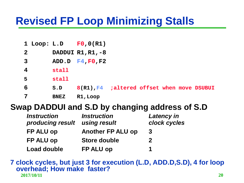## **Revised FP Loop Minimizing Stalls**

|              |             | 1 Loop: $L.D$ $F0,0(R1)$                    |  |  |  |
|--------------|-------------|---------------------------------------------|--|--|--|
| $\mathbf{2}$ |             | DADDUI R1, R1, -8                           |  |  |  |
| $\mathbf{3}$ |             | ADD.D $F4, F0, F2$                          |  |  |  |
| 4            | stall       |                                             |  |  |  |
| 5            | stall       |                                             |  |  |  |
| 6            | S.D         | 8(R1), F4 ; altered offset when move DSUBUI |  |  |  |
| 7            | <b>BNEZ</b> | R1, Loop                                    |  |  |  |

#### **Swap DADDUI and S.D by changing address of S.D**

| <i><b>Instruction</b></i><br>producing result | <b>Instruction</b><br>using result | <b>Latency in</b><br>clock cycles |
|-----------------------------------------------|------------------------------------|-----------------------------------|
| FP ALU op                                     | <b>Another FP ALU op</b>           | 3                                 |
| <b>FP ALU op</b>                              | <b>Store double</b>                | $\mathbf 2$                       |
| Load double                                   | FP ALU op                          | 1                                 |

**2017/10/11 20 7 clock cycles, but just 3 for execution (L.D, ADD.D,S.D), 4 for loop overhead; How make faster?**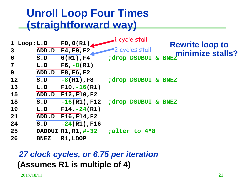#### **Unroll Loop Four Times (straightforward way)**

| ADD.D       | F4, F0, F2         |                                                                 |                                            | <b>Rewrite loop to</b><br>minimize stalls?                                           |
|-------------|--------------------|-----------------------------------------------------------------|--------------------------------------------|--------------------------------------------------------------------------------------|
| S.D         | $0(R1)$ , F4       |                                                                 |                                            |                                                                                      |
| L.D         | $F6, -8(R1)$       |                                                                 |                                            |                                                                                      |
| ADD.D       | F8, F6, F2         |                                                                 |                                            |                                                                                      |
| $S$ . $D$   | $-8(R1)$ , F $8$   |                                                                 |                                            |                                                                                      |
| L.D         | $F10, -16(R1)$     |                                                                 |                                            |                                                                                      |
|             |                    |                                                                 |                                            |                                                                                      |
| $S$ . $D$   | $-16(R1)$ , F $12$ |                                                                 |                                            |                                                                                      |
| L.D         | $F14, -24(R1)$     |                                                                 |                                            |                                                                                      |
|             |                    |                                                                 |                                            |                                                                                      |
| $S$ . $D$   | $-24(R1)$ , F16    |                                                                 |                                            |                                                                                      |
|             |                    |                                                                 |                                            |                                                                                      |
| <b>BNEZ</b> | R1, LOOP           |                                                                 |                                            |                                                                                      |
|             | 1 Loop:L.D         | ADD.D F12, F10, F2<br>ADD.D F16, F14, F2<br>DADDUI R1, R1, #-32 | FO, O(R1) 1 cycle stall<br>-2 cycles stall | ;drop DSUBUI & BNEZ<br>; drop DSUBUI & BNEZ<br>; drop DSUBUI & BNEZ<br>;alter to 4*8 |

#### *27 clock cycles, or 6.75 per iteration* **(Assumes R1 is multiple of 4)**

**2017/10/11 21**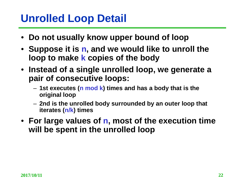## **Unrolled Loop Detail**

- **Do not usually know upper bound of loop**
- **Suppose it is n, and we would like to unroll the loop to make k copies of the body**
- **Instead of a single unrolled loop, we generate a pair of consecutive loops:**
	- **1st executes (n mod k) times and has a body that is the original loop**
	- **2nd is the unrolled body surrounded by an outer loop that iterates (n/k) times**
- **For large values of n, most of the execution time will be spent in the unrolled loop**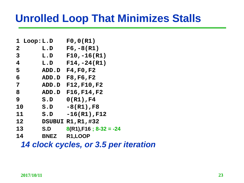### **Unrolled Loop That Minimizes Stalls**

| 1 Loop:L.D  | F0,0(R1)                    |
|-------------|-----------------------------|
| $\tt L.D$   | $F6, -8(R1)$                |
| L.D         | $F10, -16(R1)$              |
| $\tt L.D$   | $F14, -24(R1)$              |
| ADD.D       | F4, F0, F2                  |
| ADD.D       | F8, F6, F2                  |
| ADD.D       | F12, F10, F2                |
| ADD.D       | F16, F14, F2                |
| $S$ . $D$   | $0(R1)$ , F4                |
| $S$ . $D$   | $-8(R1)$ , F8               |
| $S$ . $D$   | $-16(R1)$ , F12             |
|             | DSUBUI R1, R1, #32          |
| S.D         | $8(R1), F16$ ; $8-32 = -24$ |
| <b>BNEZ</b> | R1,LOOP                     |
|             |                             |

*14 clock cycles, or 3.5 per iteration*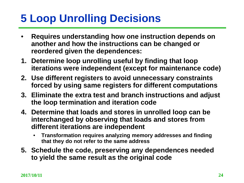## **5 Loop Unrolling Decisions**

- **Requires understanding how one instruction depends on another and how the instructions can be changed or reordered given the dependences:**
- **1. Determine loop unrolling useful by finding that loop iterations were independent (except for maintenance code)**
- **2. Use different registers to avoid unnecessary constraints forced by using same registers for different computations**
- **3. Eliminate the extra test and branch instructions and adjust the loop termination and iteration code**
- **4. Determine that loads and stores in unrolled loop can be interchanged by observing that loads and stores from different iterations are independent** 
	- **Transformation requires analyzing memory addresses and finding that they do not refer to the same address**
- **5. Schedule the code, preserving any dependences needed to yield the same result as the original code**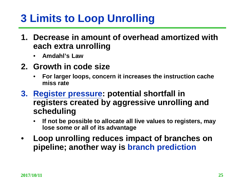## **3 Limits to Loop Unrolling**

- **1. Decrease in amount of overhead amortized with each extra unrolling**
	- **Amdahl's Law**
- **2. Growth in code size** 
	- **For larger loops, concern it increases the instruction cache miss rate**
- **3. Register pressure: potential shortfall in registers created by aggressive unrolling and scheduling**
	- **If not be possible to allocate all live values to registers, may lose some or all of its advantage**
- **Loop unrolling reduces impact of branches on pipeline; another way is branch prediction**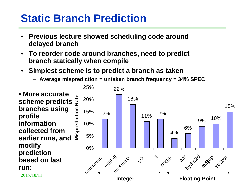## **Static Branch Prediction**

- **Previous lecture showed scheduling code around delayed branch**
- **To reorder code around branches, need to predict branch statically when compile**
- **Simplest scheme is to predict a branch as taken**
	- **Average misprediction = untaken branch frequency = 34% SPEC**



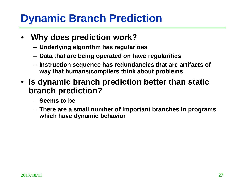## **Dynamic Branch Prediction**

- **Why does prediction work?**
	- **Underlying algorithm has regularities**
	- **Data that are being operated on have regularities**
	- **Instruction sequence has redundancies that are artifacts of way that humans/compilers think about problems**
- **Is dynamic branch prediction better than static branch prediction?**
	- **Seems to be**
	- **There are a small number of important branches in programs which have dynamic behavior**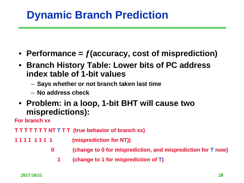## **Dynamic Branch Prediction**

- **Performance = ƒ(accuracy, cost of misprediction)**
- **Branch History Table: Lower bits of PC address index table of 1-bit values**
	- **Says whether or not branch taken last time**
	- **No address check**
- **Problem: in a loop, 1-bit BHT will cause two mispredictions):**

**For branch xx** 

- **T T T T T T T NT T T T (true behavior of branch xx)**
- **1 1 1 1 1 1 1 1 (misprediction for NT))** 
	- **0 (change to 0 for misprediction, and misprediction for T now)**
		- **1 (change to 1 for misprediction of T)**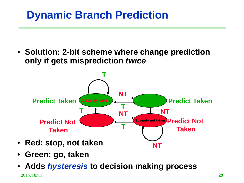## **Dynamic Branch Prediction**

• **Solution: 2-bit scheme where change prediction only if gets misprediction** *twice*



- **Green: go, taken**
- **2017/10/11 29** • **Adds** *hysteresis* **to decision making process**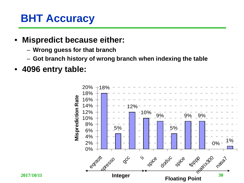## **BHT Accuracy**

- **Mispredict because either:**
	- **Wrong guess for that branch**
	- **Got branch history of wrong branch when indexing the table**
- **4096 entry table:**

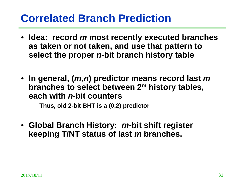#### **Correlated Branch Prediction**

- **Idea: record** *m* **most recently executed branches as taken or not taken, and use that pattern to select the proper** *n***-bit branch history table**
- **In general, (***m***,***n***) predictor means record last** *m* **branches to select between 2m history tables, each with** *n***-bit counters**

– **Thus, old 2-bit BHT is a (0,2) predictor**

• **Global Branch History:** *m-***bit shift register keeping T/NT status of last** *m* **branches.**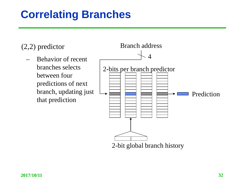## **Correlating Branches**

(2,2) predictor

– Behavior of recent branches selects between four predictions of next branch, updating just that prediction

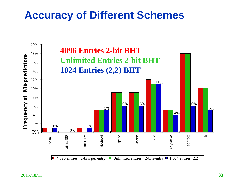#### **Accuracy of Different Schemes**

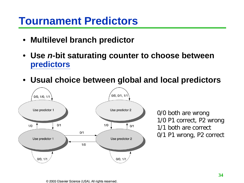#### **Tournament Predictors**

- **Multilevel branch predictor**
- **Use** *n***-bit saturating counter to choose between predictors**
- **Usual choice between global and local predictors**



0/0 both are wrong 1/0 P1 correct, P2 wrong 1/1 both are correct 0/1 P1 wrong, P2 correct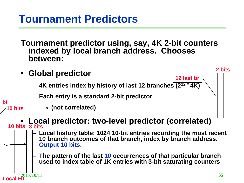#### **Tournament Predictors**

**Tournament predictor using, say, 4K 2-bit counters indexed by local branch address. Chooses between:**

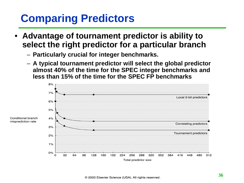## **Comparing Predictors**

- **Advantage of tournament predictor is ability to select the right predictor for a particular branch**
	- **Particularly crucial for integer benchmarks.**
	- **A typical tournament predictor will select the global predictor almost 40% of the time for the SPEC integer benchmarks and less than 15% of the time for the SPEC FP benchmarks**

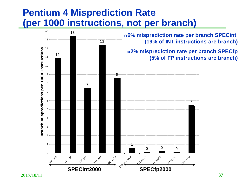### **Pentium 4 Misprediction Rate (per 1000 instructions, not per branch)**

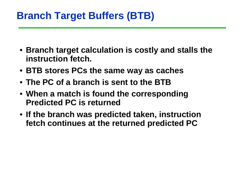### **Branch Target Buffers (BTB)**

- **Branch target calculation is costly and stalls the instruction fetch.**
- **BTB stores PCs the same way as caches**
- **The PC of a branch is sent to the BTB**
- **When a match is found the corresponding Predicted PC is returned**
- **If the branch was predicted taken, instruction fetch continues at the returned predicted PC**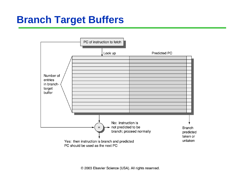

© 2003 Elsevier Science (USA). All rights reserved.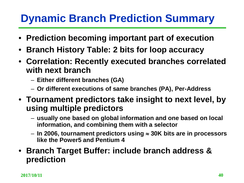# **Dynamic Branch Prediction Summary**

- **Prediction becoming important part of execution**
- **Branch History Table: 2 bits for loop accuracy**
- **Correlation: Recently executed branches correlated with next branch**
	- **Either different branches (GA)**
	- **Or different executions of same branches (PA), Per-Address**
- **Tournament predictors take insight to next level, by using multiple predictors** 
	- **usually one based on global information and one based on local information, and combining them with a selector**
	- **In 2006, tournament predictors using** ≈ **30K bits are in processors like the Power5 and Pentium 4**
- **Branch Target Buffer: include branch address & prediction**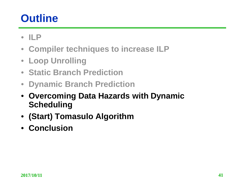# **Outline**

- **ILP**
- **Compiler techniques to increase ILP**
- **Loop Unrolling**
- **Static Branch Prediction**
- **Dynamic Branch Prediction**
- **Overcoming Data Hazards with Dynamic Scheduling**
- **(Start) Tomasulo Algorithm**
- **Conclusion**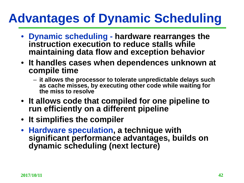# **Advantages of Dynamic Scheduling**

- **Dynamic scheduling - hardware rearranges the instruction execution to reduce stalls while maintaining data flow and exception behavior**
- **It handles cases when dependences unknown at compile time** 
	- **it allows the processor to tolerate unpredictable delays such as cache misses, by executing other code while waiting for the miss to resolve**
- **It allows code that compiled for one pipeline to run efficiently on a different pipeline**
- **It simplifies the compiler**
- **Hardware speculation, a technique with significant performance advantages, builds on dynamic scheduling (next lecture)**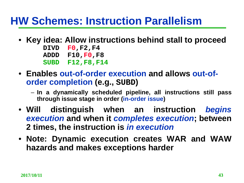### **HW Schemes: Instruction Parallelism**

- **Key idea: Allow instructions behind stall to proceed**
	- **DIVD F0,F2,F4 ADDD F10,F0,F8 SUBD F12,F8,F14**
- **Enables out-of-order execution and allows out-oforder completion (e.g., SUBD)**
	- **In a dynamically scheduled pipeline, all instructions still pass through issue stage in order (in-order issue)**
- **Will distinguish when an instruction** *begins execution* **and when it** *completes execution***; between 2 times, the instruction is** *in execution*
- **Note: Dynamic execution creates WAR and WAW hazards and makes exceptions harder**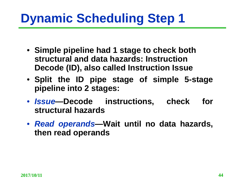# **Dynamic Scheduling Step 1**

- **Simple pipeline had 1 stage to check both structural and data hazards: Instruction Decode (ID), also called Instruction Issue**
- **Split the ID pipe stage of simple 5-stage pipeline into 2 stages:**
- *Issue—***Decode instructions, check for structural hazards**
- *Read operands—***Wait until no data hazards, then read operands**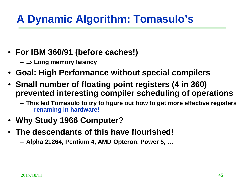# **A Dynamic Algorithm: Tomasulo's**

- **For IBM 360/91 (before caches!)**
	- ⇒ **Long memory latency**
- **Goal: High Performance without special compilers**
- **Small number of floating point registers (4 in 360) prevented interesting compiler scheduling of operations**
	- **This led Tomasulo to try to figure out how to get more effective registers — renaming in hardware!**
- **Why Study 1966 Computer?**
- **The descendants of this have flourished!**
	- **Alpha 21264, Pentium 4, AMD Opteron, Power 5, …**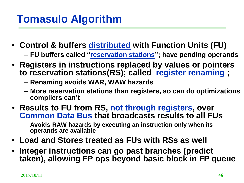# **Tomasulo Algorithm**

- **Control & buffers distributed with Function Units (FU)** – **FU buffers called "reservation stations"; have pending operands**
- **Registers in instructions replaced by values or pointers to reservation stations(RS); called register renaming ;** 
	- **Renaming avoids WAR, WAW hazards**
	- **More reservation stations than registers, so can do optimizations compilers can't**
- **Results to FU from RS, not through registers, over Common Data Bus that broadcasts results to all FUs**
	- **Avoids RAW hazards by executing an instruction only when its operands are available**
- **Load and Stores treated as FUs with RSs as well**
- **Integer instructions can go past branches (predict taken), allowing FP ops beyond basic block in FP queue**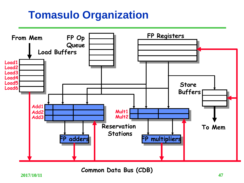### **Tomasulo Organization**



**Common Data Bus (CDB)**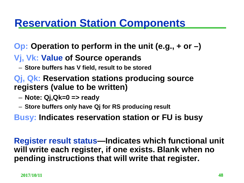### **Reservation Station Components**

### **Op: Operation to perform in the unit (e.g., + or –)**

#### **Vj, Vk: Value of Source operands**

– **Store buffers has V field, result to be stored**

#### **Qj, Qk: Reservation stations producing source registers (value to be written)**

- **Note: Qj,Qk=0 => ready**
- **Store buffers only have Qj for RS producing result**
- **Busy: Indicates reservation station or FU is busy**

**Register result status—Indicates which functional unit will write each register, if one exists. Blank when no pending instructions that will write that register.**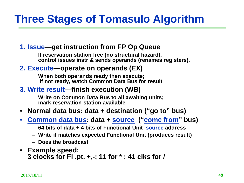# **Three Stages of Tomasulo Algorithm**

#### **1. Issue—get instruction from FP Op Queue**

**If reservation station free (no structural hazard), control issues instr & sends operands (renames registers).**

#### **2. Execute—operate on operands (EX)**

**When both operands ready then execute; if not ready, watch Common Data Bus for result**

#### **3. Write result—finish execution (WB)**

**Write on Common Data Bus to all awaiting units; mark reservation station available**

#### • **Normal data bus: data + destination ("go to" bus)**

- **Common data bus: data + source ("come from" bus)**
	- **64 bits of data + 4 bits of Functional Unit source address**
	- **Write if matches expected Functional Unit (produces result)**
	- **Does the broadcast**
- **Example speed: 3 clocks for Fl .pt. +,-; 11 for \* ; 41 clks for /**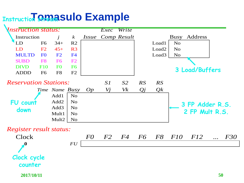# *Enstruction SHMASUIO* **Example**

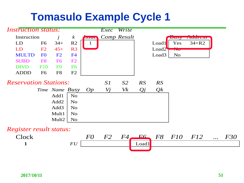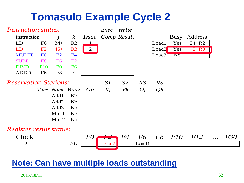

#### **Note: Can have multiple loads outstanding**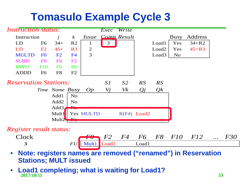

- **Note: registers names are removed ("renamed") in Reservation Stations; MULT issued**
- **2017/10/11 53** • **Load1 completing; what is waiting for Load1?**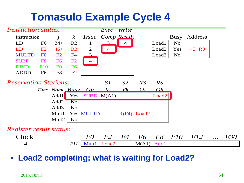

#### • **Load2 completing; what is waiting for Load2?**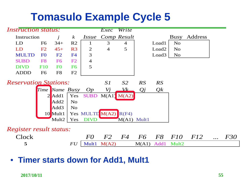

• **Timer starts down for Add1, Mult1**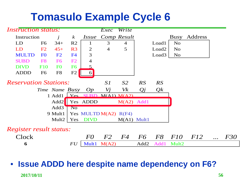

#### • **Issue ADDD here despite name dependency on F6?**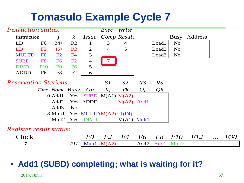

### • **Add1 (SUBD) completing; what is waiting for it?**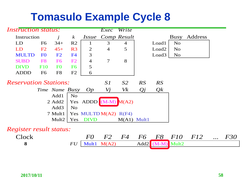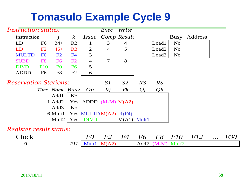| <i><b>Instruction status:</b></i> |                | Exec              | Write            |                |                         |                |                  |                   |                |            |           |     |
|-----------------------------------|----------------|-------------------|------------------|----------------|-------------------------|----------------|------------------|-------------------|----------------|------------|-----------|-----|
| Instruction                       |                |                   | $\boldsymbol{k}$ | <i>Issue</i>   |                         | Comp Result    |                  |                   | Busy           | Address    |           |     |
| LD                                | F <sub>6</sub> | $34+$             | R <sub>2</sub>   | 1              | 3                       | $\overline{4}$ |                  | Load1             | N <sub>o</sub> |            |           |     |
| LD                                | F2             | $45+$             | R <sub>3</sub>   | 2              | $\overline{4}$          | 5              |                  | Load <sub>2</sub> | N <sub>o</sub> |            |           |     |
| <b>MULTD</b>                      | F <sub>0</sub> | F2                | F <sub>4</sub>   | 3              |                         |                |                  | Load3             | <b>No</b>      |            |           |     |
| <b>SUBD</b>                       | F <sub>8</sub> | F <sub>6</sub>    | F2               | $\overline{4}$ | 7                       | 8              |                  |                   |                |            |           |     |
| <b>DIVD</b>                       | <b>F10</b>     | F <sub>0</sub>    | F <sub>6</sub>   | 5              |                         |                |                  |                   |                |            |           |     |
| <b>ADDD</b>                       | F <sub>6</sub> | F8                | F2               | 6              |                         |                |                  |                   |                |            |           |     |
| <b>Reservation Stations:</b>      |                | SI                | S <sub>2</sub>   | RS             | RS                      |                |                  |                   |                |            |           |     |
|                                   |                | Time Name Busy    |                  | Op             | Vj                      | Vk             | Qj               | Qk                |                |            |           |     |
|                                   |                | Add1              | N <sub>o</sub>   |                |                         |                |                  |                   |                |            |           |     |
|                                   |                | 1 Add2            |                  |                | Yes ADDD $(M-M) M(A2)$  |                |                  |                   |                |            |           |     |
|                                   |                | Add <sub>3</sub>  | <b>No</b>        |                |                         |                |                  |                   |                |            |           |     |
|                                   |                | 6 Mult1           |                  |                | Yes MULTD $M(A2)$ R(F4) |                |                  |                   |                |            |           |     |
|                                   |                | Mult <sub>2</sub> | Yes              | <b>DIVD</b>    |                         | $M(A1)$ Mult1  |                  |                   |                |            |           |     |
| <i>Register result status:</i>    |                |                   |                  |                |                         |                |                  |                   |                |            |           |     |
| Clock                             |                |                   |                  | $F0 \$         | F2                      | F4             | F6               | F8                | F10            | <i>F12</i> | $\ddotsc$ | F30 |
| 9                                 |                |                   | FU               | Mult1          | M(A2)                   |                | Add <sub>2</sub> | $(M-M)$ Mult2     |                |            |           |     |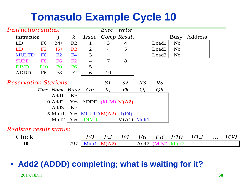

#### **2017/10/11 60** • **Add2 (ADDD) completing; what is waiting for it?**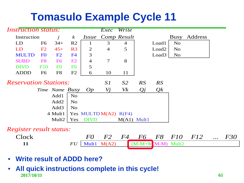

- **Write result of ADDD here?**
- **2017/10/11 61** • **All quick instructions complete in this cycle!**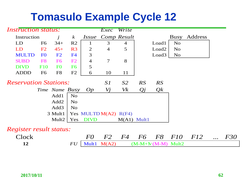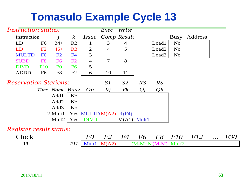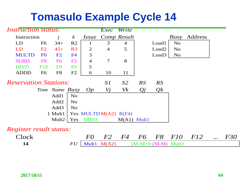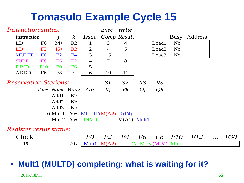

#### **2017/10/11 65** • **Mult1 (MULTD) completing; what is waiting for it?**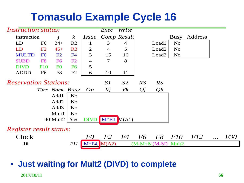

**2017/10/11 66** • **Just waiting for Mult2 (DIVD) to complete**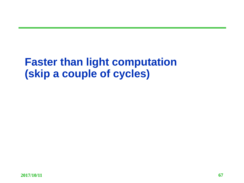### **Faster than light computation (skip a couple of cycles)**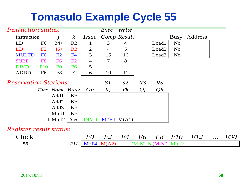| <b>Instruction status:</b>     |                | $\overline{Exec}$ | Write            |                |                |                |                     |                   |                |            |           |            |
|--------------------------------|----------------|-------------------|------------------|----------------|----------------|----------------|---------------------|-------------------|----------------|------------|-----------|------------|
| Instruction<br>$\dot{J}$       |                |                   | $\boldsymbol{k}$ | <i>Issue</i>   |                | Comp Result    |                     |                   | Busy           | Address    |           |            |
| LD                             | F <sub>6</sub> | $34+$             | R2               | 1              | 3              | $\overline{4}$ |                     | Load1             | N <sub>o</sub> |            |           |            |
| LD                             | F2             | $45+$             | R <sub>3</sub>   | 2              | $\overline{4}$ | 5              |                     | Load <sub>2</sub> | N <sub>o</sub> |            |           |            |
| <b>MULTD</b>                   | F <sub>0</sub> | F2                | F <sub>4</sub>   | 3              | 15             | 16             |                     | Load3             | N <sub>o</sub> |            |           |            |
| <b>SUBD</b>                    | F <sub>8</sub> | F <sub>6</sub>    | F2               | $\overline{4}$ | 7              | 8              |                     |                   |                |            |           |            |
| <b>DIVD</b>                    | <b>F10</b>     | F <sub>0</sub>    | F <sub>6</sub>   | 5              |                |                |                     |                   |                |            |           |            |
| <b>ADDD</b>                    | F <sub>6</sub> | F <sub>8</sub>    | F2               | 6              | 10             | 11             |                     |                   |                |            |           |            |
| <b>Reservation Stations:</b>   |                |                   |                  |                | S1             | S <sub>2</sub> | RS                  | RS                |                |            |           |            |
|                                |                | Time Name Busy    |                  | Op             | Vj             | Vk             | Qj                  | Qk                |                |            |           |            |
|                                |                | Add1              | N <sub>o</sub>   |                |                |                |                     |                   |                |            |           |            |
|                                |                | Add2              | N <sub>o</sub>   |                |                |                |                     |                   |                |            |           |            |
|                                |                | Add <sub>3</sub>  | N <sub>o</sub>   |                |                |                |                     |                   |                |            |           |            |
|                                |                | Mult1             | N <sub>o</sub>   |                |                |                |                     |                   |                |            |           |            |
|                                |                | 1 Mult2           | Yes              | <b>DIVD</b>    |                | $M*F4 M(A1)$   |                     |                   |                |            |           |            |
| <i>Register result status:</i> |                |                   |                  |                |                |                |                     |                   |                |            |           |            |
| Clock                          |                |                   |                  | $F0 \$         | F2             | F4             | F6                  | F8                | F10            | <i>F12</i> | $\ddotsc$ | <i>F30</i> |
| 55                             |                | FU                | $M*F4$           | M(A2)          |                |                | $(M-M+N(M-M)$ Mult2 |                   |                |            |           |            |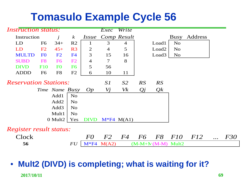

### • **Mult2 (DIVD) is completing; what is waiting for it?**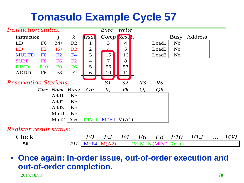

#### **2017/10/11 70** • **Once again: In-order issue, out-of-order execution and out-of-order completion.**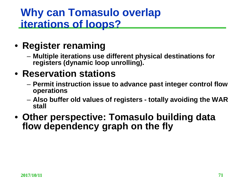### **Why can Tomasulo overlap iterations of loops?**

### • **Register renaming**

– **Multiple iterations use different physical destinations for registers (dynamic loop unrolling).**

### • **Reservation stations**

- **Permit instruction issue to advance past integer control flow operations**
- **Also buffer old values of registers - totally avoiding the WAR stall**
- **Other perspective: Tomasulo building data flow dependency graph on the fly**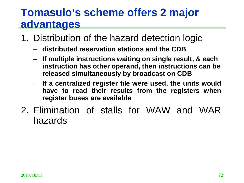### **Tomasulo's scheme offers 2 major advantages**

- 1. Distribution of the hazard detection logic
	- **distributed reservation stations and the CDB**
	- **If multiple instructions waiting on single result, & each instruction has other operand, then instructions can be released simultaneously by broadcast on CDB**
	- **If a centralized register file were used, the units would have to read their results from the registers when register buses are available**
- 2. Elimination of stalls for WAW and WAR hazards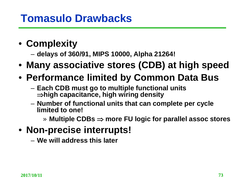## **Tomasulo Drawbacks**

- **Complexity**
	- **delays of 360/91, MIPS 10000, Alpha 21264!**
- **Many associative stores (CDB) at high speed**
- **Performance limited by Common Data Bus**
	- **Each CDB must go to multiple functional units**  ⇒**high capacitance, high wiring density**
	- **Number of functional units that can complete per cycle limited to one!**
		- » **Multiple CDBs** ⇒ **more FU logic for parallel assoc stores**
- **Non-precise interrupts!**
	- **We will address this later**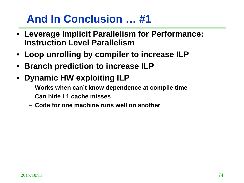## **And In Conclusion … #1**

- **Leverage Implicit Parallelism for Performance: Instruction Level Parallelism**
- **Loop unrolling by compiler to increase ILP**
- **Branch prediction to increase ILP**
- **Dynamic HW exploiting ILP**
	- **Works when can't know dependence at compile time**
	- **Can hide L1 cache misses**
	- **Code for one machine runs well on another**